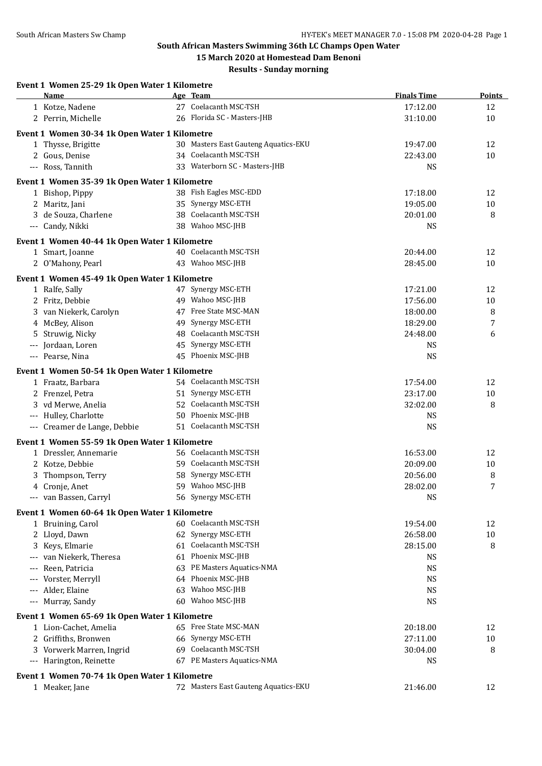## **South African Masters Swimming 36th LC Champs Open Water**

**15 March 2020 at Homestead Dam Benoni Results - Sunday morning**

| Event 1 Women 25-29 1k Open Water 1 Kilometre<br>Name |    | Age Team                                  | <b>Finals Time</b> | Points   |
|-------------------------------------------------------|----|-------------------------------------------|--------------------|----------|
| 1 Kotze, Nadene                                       |    | 27 Coelacanth MSC-TSH                     | 17:12.00           | 12       |
| 2 Perrin, Michelle                                    |    | 26 Florida SC - Masters-JHB               | 31:10.00           | 10       |
| Event 1 Women 30-34 1k Open Water 1 Kilometre         |    |                                           |                    |          |
| 1 Thysse, Brigitte                                    |    | 30 Masters East Gauteng Aquatics-EKU      | 19:47.00           | 12       |
| 2 Gous, Denise                                        |    | 34 Coelacanth MSC-TSH                     | 22:43.00           | 10       |
| --- Ross, Tannith                                     |    | 33 Waterborn SC - Masters-JHB             | <b>NS</b>          |          |
|                                                       |    |                                           |                    |          |
| Event 1 Women 35-39 1k Open Water 1 Kilometre         |    |                                           |                    |          |
| 1 Bishop, Pippy                                       |    | 38 Fish Eagles MSC-EDD                    | 17:18.00           | 12       |
| 2 Maritz, Jani                                        |    | 35 Synergy MSC-ETH                        | 19:05.00           | 10       |
| 3 de Souza, Charlene                                  |    | 38 Coelacanth MSC-TSH<br>38 Wahoo MSC-JHB | 20:01.00           | 8        |
| --- Candy, Nikki                                      |    |                                           | <b>NS</b>          |          |
| Event 1 Women 40-44 1k Open Water 1 Kilometre         |    |                                           |                    |          |
| 1 Smart, Joanne                                       |    | 40 Coelacanth MSC-TSH                     | 20:44.00           | 12       |
| 2 O'Mahony, Pearl                                     |    | 43 Wahoo MSC-JHB                          | 28:45.00           | 10       |
| Event 1 Women 45-49 1k Open Water 1 Kilometre         |    |                                           |                    |          |
| 1 Ralfe, Sally                                        |    | 47 Synergy MSC-ETH                        | 17:21.00           | 12       |
| 2 Fritz, Debbie                                       |    | 49 Wahoo MSC-JHB                          | 17:56.00           | 10       |
| 3 van Niekerk, Carolyn                                |    | 47 Free State MSC-MAN                     | 18:00.00           | 8        |
| 4 McBey, Alison                                       | 49 | Synergy MSC-ETH                           | 18:29.00           | 7        |
| 5 Struwig, Nicky                                      | 48 | Coelacanth MSC-TSH                        | 24:48.00           | 6        |
| --- Jordaan, Loren                                    |    | 45 Synergy MSC-ETH                        | <b>NS</b>          |          |
| --- Pearse, Nina                                      |    | 45 Phoenix MSC-JHB                        | <b>NS</b>          |          |
| Event 1 Women 50-54 1k Open Water 1 Kilometre         |    |                                           |                    |          |
| 1 Fraatz, Barbara                                     |    | 54 Coelacanth MSC-TSH                     | 17:54.00           | 12       |
| 2 Frenzel, Petra                                      |    | 51 Synergy MSC-ETH                        | 23:17.00           | 10       |
| 3 vd Merwe, Anelia                                    |    | 52 Coelacanth MSC-TSH                     | 32:02.00           | 8        |
| --- Hulley, Charlotte                                 |    | 50 Phoenix MSC-JHB                        | <b>NS</b>          |          |
| --- Creamer de Lange, Debbie                          |    | 51 Coelacanth MSC-TSH                     | <b>NS</b>          |          |
| Event 1 Women 55-59 1k Open Water 1 Kilometre         |    |                                           |                    |          |
| 1 Dressler, Annemarie                                 |    | 56 Coelacanth MSC-TSH                     | 16:53.00           | 12       |
| 2 Kotze, Debbie                                       |    | 59 Coelacanth MSC-TSH                     | 20:09.00           | 10       |
| 3 Thompson, Terry                                     |    | 58 Synergy MSC-ETH                        | 20:56.00           | 8        |
| 4 Cronje, Anet                                        |    | 59 Wahoo MSC-JHB                          | 28:02.00           | 7        |
| --- van Bassen, Carryl                                |    | 56 Synergy MSC-ETH                        | <b>NS</b>          |          |
|                                                       |    |                                           |                    |          |
| Event 1 Women 60-64 1k Open Water 1 Kilometre         |    | 60 Coelacanth MSC-TSH                     | 19:54.00           |          |
| 1 Bruining, Carol<br>2 Lloyd, Dawn                    |    | 62 Synergy MSC-ETH                        | 26:58.00           | 12<br>10 |
| Keys, Elmarie                                         | 61 | Coelacanth MSC-TSH                        | 28:15.00           | 8        |
| 3<br>van Niekerk, Theresa                             |    | 61 Phoenix MSC-JHB                        | <b>NS</b>          |          |
| Reen, Patricia                                        | 63 | PE Masters Aquatics-NMA                   | <b>NS</b>          |          |
| Vorster, Merryll                                      | 64 | Phoenix MSC-JHB                           | <b>NS</b>          |          |
| Alder, Elaine                                         | 63 | Wahoo MSC-JHB                             | <b>NS</b>          |          |
| --- Murray, Sandy                                     | 60 | Wahoo MSC-JHB                             | <b>NS</b>          |          |
|                                                       |    |                                           |                    |          |
| Event 1 Women 65-69 1k Open Water 1 Kilometre         |    |                                           |                    |          |
| 1 Lion-Cachet, Amelia                                 |    | 65 Free State MSC-MAN                     | 20:18.00           | 12       |
| 2 Griffiths, Bronwen                                  |    | 66 Synergy MSC-ETH                        | 27:11.00           | 10       |
| 3 Vorwerk Marren, Ingrid                              |    | 69 Coelacanth MSC-TSH                     | 30:04.00           | 8        |
| --- Harington, Reinette                               |    | 67 PE Masters Aquatics-NMA                | <b>NS</b>          |          |
| Event 1 Women 70-74 1k Open Water 1 Kilometre         |    |                                           |                    |          |
| 1 Meaker, Jane                                        |    | 72 Masters East Gauteng Aquatics-EKU      | 21:46.00           | 12       |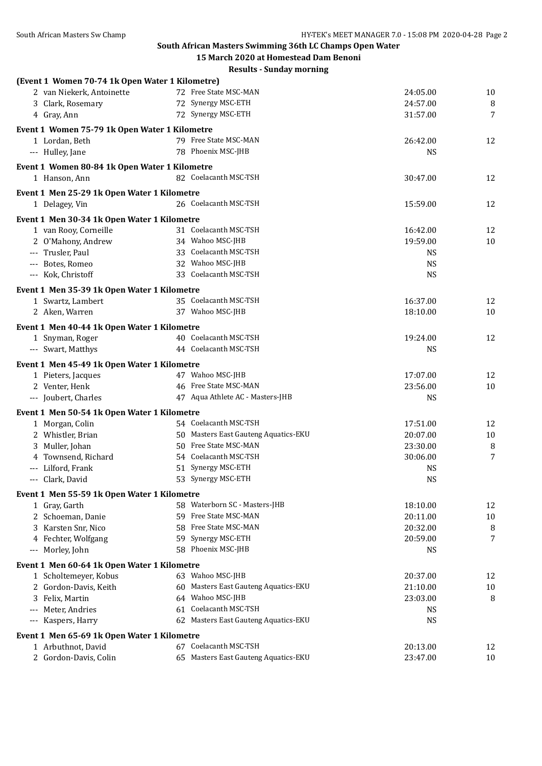**South African Masters Swimming 36th LC Champs Open Water**

|                                                 | 15 March 2020 at Homestead Dam Benoni |                      |          |
|-------------------------------------------------|---------------------------------------|----------------------|----------|
|                                                 | <b>Results - Sunday morning</b>       |                      |          |
| (Event 1 Women 70-74 1k Open Water 1 Kilometre) |                                       |                      |          |
| 2 van Niekerk, Antoinette                       | 72 Free State MSC-MAN                 | 24:05.00             | 10       |
| 3 Clark, Rosemary                               | 72 Synergy MSC-ETH                    | 24:57.00             | 8        |
| 4 Gray, Ann                                     | 72 Synergy MSC-ETH                    | 31:57.00             | 7        |
| Event 1 Women 75-79 1k Open Water 1 Kilometre   |                                       |                      |          |
| 1 Lordan, Beth                                  | 79 Free State MSC-MAN                 | 26:42.00             | 12       |
| --- Hulley, Jane                                | 78 Phoenix MSC-JHB                    | <b>NS</b>            |          |
|                                                 |                                       |                      |          |
| Event 1 Women 80-84 1k Open Water 1 Kilometre   | 82 Coelacanth MSC-TSH                 |                      |          |
| 1 Hanson, Ann                                   |                                       | 30:47.00             | 12       |
| Event 1 Men 25-29 1k Open Water 1 Kilometre     |                                       |                      |          |
| 1 Delagey, Vin                                  | 26 Coelacanth MSC-TSH                 | 15:59.00             | 12       |
| Event 1 Men 30-34 1k Open Water 1 Kilometre     |                                       |                      |          |
| 1 van Rooy, Corneille                           | 31 Coelacanth MSC-TSH                 | 16:42.00             | 12       |
| 2 O'Mahony, Andrew                              | 34 Wahoo MSC-JHB                      | 19:59.00             | 10       |
| --- Trusler, Paul                               | 33 Coelacanth MSC-TSH                 | <b>NS</b>            |          |
| --- Botes, Romeo                                | 32 Wahoo MSC-JHB                      | <b>NS</b>            |          |
| --- Kok, Christoff                              | 33 Coelacanth MSC-TSH                 | <b>NS</b>            |          |
| Event 1 Men 35-39 1k Open Water 1 Kilometre     |                                       |                      |          |
|                                                 | 35 Coelacanth MSC-TSH                 |                      |          |
| 1 Swartz, Lambert<br>2 Aken, Warren             | 37 Wahoo MSC-JHB                      | 16:37.00<br>18:10.00 | 12<br>10 |
|                                                 |                                       |                      |          |
| Event 1 Men 40-44 1k Open Water 1 Kilometre     |                                       |                      |          |
| 1 Snyman, Roger                                 | 40 Coelacanth MSC-TSH                 | 19:24.00             | 12       |
| --- Swart, Matthys                              | 44 Coelacanth MSC-TSH                 | <b>NS</b>            |          |
| Event 1 Men 45-49 1k Open Water 1 Kilometre     |                                       |                      |          |
| 1 Pieters, Jacques                              | 47 Wahoo MSC-JHB                      | 17:07.00             | 12       |
| 2 Venter, Henk                                  | 46 Free State MSC-MAN                 | 23:56.00             | 10       |
| --- Joubert, Charles                            | 47 Aqua Athlete AC - Masters-JHB      | <b>NS</b>            |          |
| Event 1 Men 50-54 1k Open Water 1 Kilometre     |                                       |                      |          |
| 1 Morgan, Colin                                 | 54 Coelacanth MSC-TSH                 | 17:51.00             | 12       |
| 2 Whistler, Brian                               | 50 Masters East Gauteng Aquatics-EKU  | 20:07.00             | 10       |
| 3 Muller, Johan                                 | 50 Free State MSC-MAN                 | 23:30.00             | 8        |
| 4 Townsend, Richard                             | 54 Coelacanth MSC-TSH                 | 30:06.00             | 7        |
| --- Lilford, Frank                              | 51 Synergy MSC-ETH                    | <b>NS</b>            |          |
| Clark, David                                    | 53 Synergy MSC-ETH                    | <b>NS</b>            |          |
|                                                 |                                       |                      |          |
| Event 1 Men 55-59 1k Open Water 1 Kilometre     |                                       |                      |          |
| 1 Gray, Garth                                   | 58 Waterborn SC - Masters-JHB         | 18:10.00             | 12       |
| 2 Schoeman, Danie                               | 59 Free State MSC-MAN                 | 20:11.00             | 10       |
| 3 Karsten Snr, Nico                             | 58 Free State MSC-MAN                 | 20:32.00             | 8        |
| 4 Fechter, Wolfgang                             | 59 Synergy MSC-ETH                    | 20:59.00             | 7        |
| --- Morley, John                                | 58 Phoenix MSC-JHB                    | <b>NS</b>            |          |
| Event 1 Men 60-64 1k Open Water 1 Kilometre     |                                       |                      |          |
| 1 Scholtemeyer, Kobus                           | 63 Wahoo MSC-JHB                      | 20:37.00             | 12       |
| 2 Gordon-Davis, Keith                           | 60 Masters East Gauteng Aquatics-EKU  | 21:10.00             | 10       |
| Felix, Martin<br>3                              | 64 Wahoo MSC-JHB                      | 23:03.00             | 8        |
| --- Meter, Andries                              | 61 Coelacanth MSC-TSH                 | <b>NS</b>            |          |
| --- Kaspers, Harry                              | 62 Masters East Gauteng Aquatics-EKU  | <b>NS</b>            |          |
| Event 1 Men 65-69 1k Open Water 1 Kilometre     |                                       |                      |          |
| 1 Arbuthnot, David                              | 67 Coelacanth MSC-TSH                 | 20:13.00             | 12       |
| 2 Gordon-Davis, Colin                           | 65 Masters East Gauteng Aquatics-EKU  | 23:47.00             | 10       |
|                                                 |                                       |                      |          |